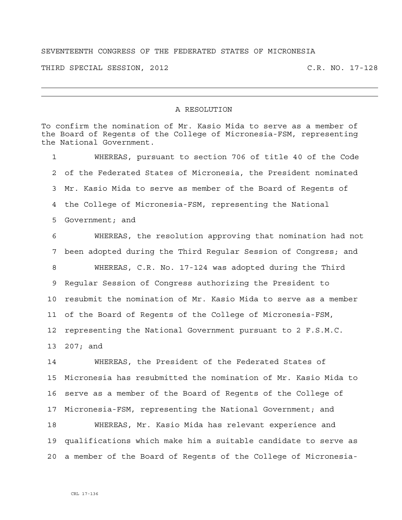## SEVENTEENTH CONGRESS OF THE FEDERATED STATES OF MICRONESIA

THIRD SPECIAL SESSION, 2012 C.R. NO. 17-128

## A RESOLUTION

To confirm the nomination of Mr. Kasio Mida to serve as a member of the Board of Regents of the College of Micronesia-FSM, representing the National Government.

1 WHEREAS, pursuant to section 706 of title 40 of the Code 2 of the Federated States of Micronesia, the President nominated 3 Mr. Kasio Mida to serve as member of the Board of Regents of 4 the College of Micronesia-FSM, representing the National 5 Government; and

6 WHEREAS, the resolution approving that nomination had not 7 been adopted during the Third Regular Session of Congress; and 8 WHEREAS, C.R. No. 17-124 was adopted during the Third 9 Regular Session of Congress authorizing the President to 10 resubmit the nomination of Mr. Kasio Mida to serve as a member 11 of the Board of Regents of the College of Micronesia-FSM, 12 representing the National Government pursuant to 2 F.S.M.C. 13 207; and

14 WHEREAS, the President of the Federated States of 15 Micronesia has resubmitted the nomination of Mr. Kasio Mida to 16 serve as a member of the Board of Regents of the College of 17 Micronesia-FSM, representing the National Government; and 18 WHEREAS, Mr. Kasio Mida has relevant experience and 19 qualifications which make him a suitable candidate to serve as

20 a member of the Board of Regents of the College of Micronesia-